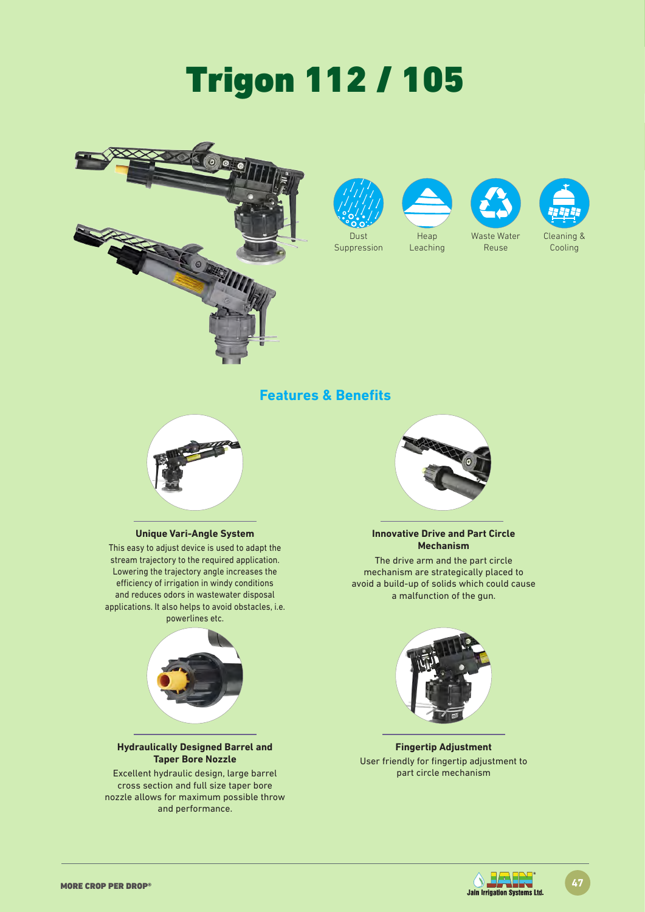# Trigon 112 / 105







Leaching



Reuse



### **Features & Benefits**



#### **Unique Vari-Angle System**

This easy to adjust device is used to adapt the stream trajectory to the required application. Lowering the trajectory angle increases the efficiency of irrigation in windy conditions and reduces odors in wastewater disposal applications. It also helps to avoid obstacles, i.e. powerlines etc.



#### **Hydraulically Designed Barrel and Taper Bore Nozzle**

Excellent hydraulic design, large barrel cross section and full size taper bore nozzle allows for maximum possible throw and performance.



#### **Innovative Drive and Part Circle Mechanism**

The drive arm and the part circle mechanism are strategically placed to avoid a build-up of solids which could cause a malfunction of the gun.



**Fingertip Adjustment** User friendly for fingertip adjustment to part circle mechanism